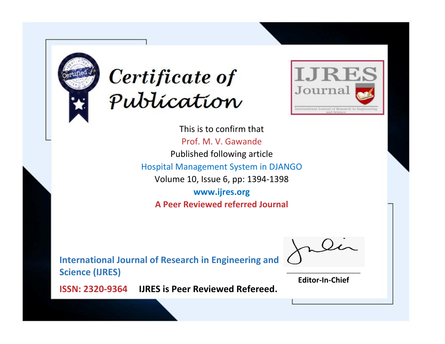



This is to confirm that Prof. M. V. Gawande Published following article Hospital Management System in DJANGO Volume 10, Issue 6, pp: 1394-1398 **www.ijres.org A Peer Reviewed referred Journal**

**International Journal of Research in Engineering and Science (IJRES)**

\_\_\_\_\_\_\_\_\_\_\_\_\_\_\_\_\_\_\_\_\_\_\_\_ **Editor-In-Chief**

**Journal.**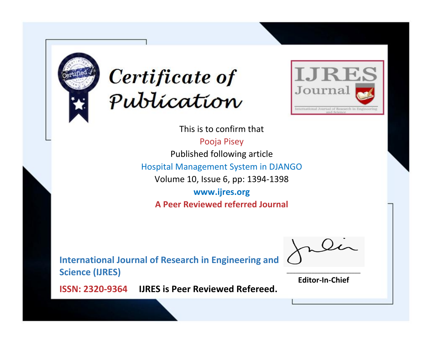



This is to confirm that Pooja Pisey Published following article Hospital Management System in DJANGO Volume 10, Issue 6, pp: 1394-1398 **www.ijres.org A Peer Reviewed referred Journal**

**International Journal of Research in Engineering and Science (IJRES)**

\_\_\_\_\_\_\_\_\_\_\_\_\_\_\_\_\_\_\_\_\_\_\_\_ **Editor-In-Chief**

**Journal.**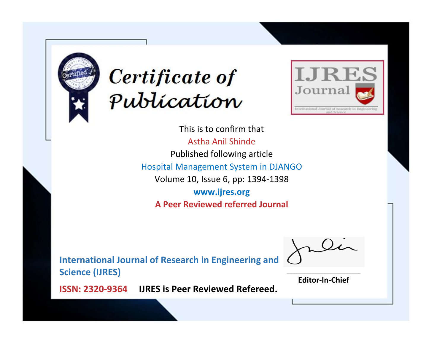



This is to confirm that Astha Anil Shinde Published following article Hospital Management System in DJANGO Volume 10, Issue 6, pp: 1394-1398 **www.ijres.org A Peer Reviewed referred Journal**

**International Journal of Research in Engineering and Science (IJRES)**

\_\_\_\_\_\_\_\_\_\_\_\_\_\_\_\_\_\_\_\_\_\_\_\_ **Editor-In-Chief**

**Journal.**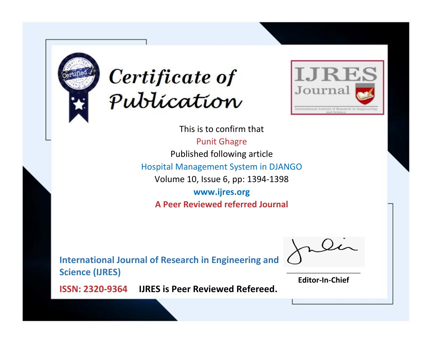



This is to confirm that Punit Ghagre Published following article Hospital Management System in DJANGO Volume 10, Issue 6, pp: 1394-1398 **www.ijres.org A Peer Reviewed referred Journal**

**International Journal of Research in Engineering and Science (IJRES)**

\_\_\_\_\_\_\_\_\_\_\_\_\_\_\_\_\_\_\_\_\_\_\_\_ **Editor-In-Chief**

**Journal.**